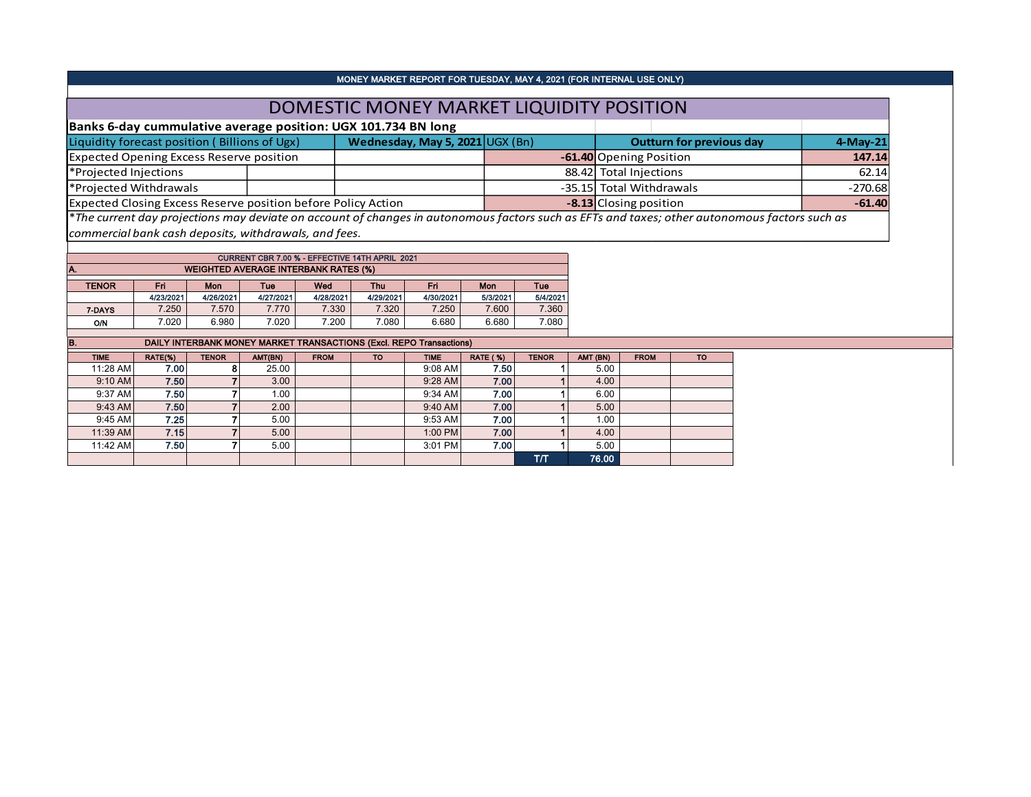|                                                               | MONEY MARKET REPORT FOR TUESDAY, MAY 4, 2021 (FOR INTERNAL USE ONLY) |                                                                                                                                               |           |
|---------------------------------------------------------------|----------------------------------------------------------------------|-----------------------------------------------------------------------------------------------------------------------------------------------|-----------|
|                                                               | DOMESTIC MONEY MARKET LIQUIDITY POSITION                             |                                                                                                                                               |           |
| Banks 6-day cummulative average position: UGX 101.734 BN long |                                                                      |                                                                                                                                               |           |
| Liquidity forecast position (Billions of Ugx)                 | Wednesday, May 5, 2021 $\cup$ GX (Bn)                                | <b>Outturn for previous day</b>                                                                                                               | 4-May-21  |
| Expected Opening Excess Reserve position                      |                                                                      | -61.40 Opening Position                                                                                                                       | 147.14    |
| *Projected Injections                                         |                                                                      | 88.42 Total Injections                                                                                                                        | 62.14     |
| *Projected Withdrawals                                        |                                                                      | -35.15 Total Withdrawals                                                                                                                      | $-270.68$ |
| Expected Closing Excess Reserve position before Policy Action |                                                                      | -8.13 Closing position                                                                                                                        | $-61.40$  |
|                                                               |                                                                      | *The current day projections may deviate on account of changes in autonomous factors such as EFTs and taxes; other autonomous factors such as |           |

*commercial bank cash deposits, withdrawals, and fees.*

|              |           |           | CURRENT CBR 7.00 % - EFFECTIVE 14TH APRIL 2021 |           |           |           |          |            |  |  |  |  |  |
|--------------|-----------|-----------|------------------------------------------------|-----------|-----------|-----------|----------|------------|--|--|--|--|--|
| IA.          |           |           | <b>WEIGHTED AVERAGE INTERBANK RATES (%)</b>    |           |           |           |          |            |  |  |  |  |  |
|              |           |           |                                                |           |           |           |          |            |  |  |  |  |  |
| <b>TENOR</b> | Fri.      | Mon       | Tue                                            | Wed       | Thu       | Fri       | Mon      | <b>Tue</b> |  |  |  |  |  |
|              | 4/23/2021 | 4/26/2021 | 4/27/2021                                      | 4/28/2021 | 4/29/2021 | 4/30/2021 | 5/3/2021 | 5/4/2021   |  |  |  |  |  |
| 7-DAYS       | 7.250     | 7.570     | 7.770                                          | 7.330     | 7.320     | 7.250     | 7.600    | 7.360      |  |  |  |  |  |
| O/N          | 7.020     | 6.980     | 7.020                                          | 7.200     | 7.080     | 6.680     | 6.680    | 7.080      |  |  |  |  |  |

| IB.         |         |              |                   |             |           | <b>DAILY INTERBANK MONEY MARKET TRANSACTIONS (Excl. REPO Transactions)</b> |                 |              |          |             |           |
|-------------|---------|--------------|-------------------|-------------|-----------|----------------------------------------------------------------------------|-----------------|--------------|----------|-------------|-----------|
| <b>TIME</b> | RATE(%) | <b>TENOR</b> | AMT(BN)           | <b>FROM</b> | <b>TO</b> | <b>TIME</b>                                                                | <b>RATE (%)</b> | <b>TENOR</b> | AMT (BN) | <b>FROM</b> | <b>TO</b> |
| 11:28 AM    | 7.00    | 8            | 25.00             |             |           | $9:08$ AM                                                                  | 7.50            |              | 5.00     |             |           |
| 9:10 AM     | 7.50    |              | 3.00              |             |           | 9:28 AM                                                                    | 7.00            |              | 4.00     |             |           |
| 9:37 AM     | 7.50    |              | 1.00 <sub>1</sub> |             |           | 9:34 AM                                                                    | 7.00            |              | 6.00     |             |           |
| 9:43 AM     | 7.50    |              | 2.00              |             |           | $9:40$ AM                                                                  | 7.00            |              | 5.00     |             |           |
| 9:45 AM     | 7.25    |              | 5.00              |             |           | 9:53 AM                                                                    | 7.00            |              | 1.00     |             |           |
| 11:39 AM    | 7.15    |              | 5.00              |             |           | 1:00 PM                                                                    | 7.00            |              | 4.00     |             |           |
| 11:42 AM    | 7.50    |              | 5.00              |             |           | 3:01 PM                                                                    | 7.00            |              | 5.00     |             |           |
|             |         |              |                   |             |           |                                                                            |                 | тл           | 76.00    |             |           |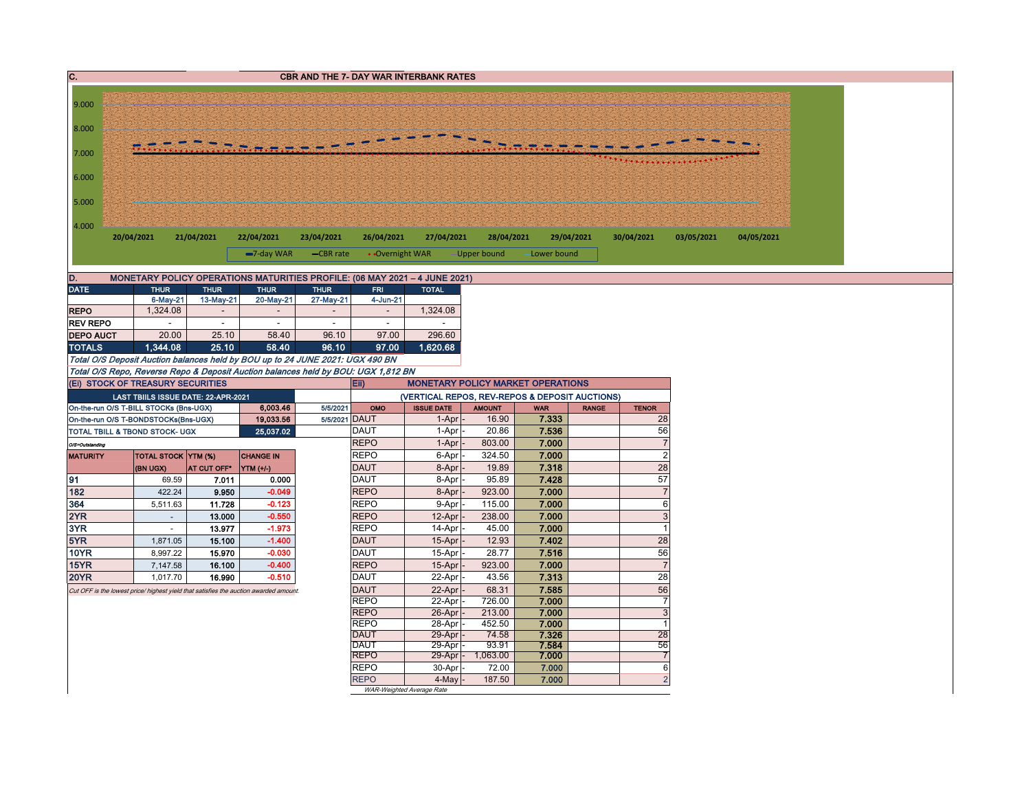| C.               |                                        |             |                |                                                                                       | <b>CBR AND THE 7- DAY WAR INTERBANK RATES</b>                                             |                 |                                                |                 |                |              |                        |            |            |  |
|------------------|----------------------------------------|-------------|----------------|---------------------------------------------------------------------------------------|-------------------------------------------------------------------------------------------|-----------------|------------------------------------------------|-----------------|----------------|--------------|------------------------|------------|------------|--|
|                  |                                        |             |                |                                                                                       |                                                                                           |                 |                                                |                 |                |              |                        |            |            |  |
| 9.000            |                                        |             |                |                                                                                       |                                                                                           |                 |                                                |                 |                |              |                        |            |            |  |
|                  |                                        |             |                |                                                                                       |                                                                                           |                 |                                                |                 |                |              |                        |            |            |  |
| 8.000            |                                        |             |                |                                                                                       |                                                                                           |                 |                                                |                 |                |              |                        |            |            |  |
| 7.000            |                                        |             |                |                                                                                       |                                                                                           |                 |                                                |                 |                |              |                        |            |            |  |
| 6.000            |                                        |             |                |                                                                                       |                                                                                           |                 |                                                |                 |                |              |                        |            |            |  |
| 5.000            |                                        |             |                |                                                                                       |                                                                                           |                 |                                                |                 |                |              |                        |            |            |  |
| 4.000            |                                        |             |                |                                                                                       |                                                                                           |                 |                                                |                 |                |              |                        |            |            |  |
|                  | 20/04/2021                             | 21/04/2021  |                | 22/04/2021                                                                            | 23/04/2021                                                                                | 26/04/2021      | 27/04/2021                                     | 28/04/2021      |                | 29/04/2021   | 30/04/2021             | 03/05/2021 | 04/05/2021 |  |
|                  |                                        |             |                | $-7$ -day WAR                                                                         | -CBR rate                                                                                 | • Overnight WAR |                                                | -Upper bound    | Lower bound    |              |                        |            |            |  |
| D.               |                                        |             |                |                                                                                       |                                                                                           |                 |                                                |                 |                |              |                        |            |            |  |
| <b>DATE</b>      | <b>THUR</b>                            |             | <b>THUR</b>    | <b>THUR</b>                                                                           | MONETARY POLICY OPERATIONS MATURITIES PROFILE: (06 MAY 2021 - 4 JUNE 2021)<br><b>THUR</b> | <b>FRI</b>      | <b>TOTAL</b>                                   |                 |                |              |                        |            |            |  |
|                  | 6-May-21                               |             | 13-May-21      | 20-May-21                                                                             | 27-May-21                                                                                 | 4-Jun-21        |                                                |                 |                |              |                        |            |            |  |
| <b>REPO</b>      | 1,324.08                               |             | $\sim$         | $\sim$                                                                                | $\sim$                                                                                    | $\sim$          | 1,324.08                                       |                 |                |              |                        |            |            |  |
| <b>REV REPO</b>  |                                        |             | $\sim$         | $\sim$                                                                                | $\mathbf{r}$                                                                              | $\sim$          |                                                |                 |                |              |                        |            |            |  |
| <b>DEPO AUCT</b> | 20.00                                  |             | 25.10          | 58.40                                                                                 | 96.10                                                                                     | 97.00           | 296.60                                         |                 |                |              |                        |            |            |  |
| <b>TOTALS</b>    | 1.344.08                               |             | 25.10          | 58.40                                                                                 | 96.10                                                                                     | 97.00           | 1.620.68                                       |                 |                |              |                        |            |            |  |
|                  |                                        |             |                |                                                                                       | Total O/S Deposit Auction balances held by BOU up to 24 JUNE 2021: UGX 490 BN             |                 |                                                |                 |                |              |                        |            |            |  |
|                  |                                        |             |                |                                                                                       | Total O/S Repo, Reverse Repo & Deposit Auction balances held by BOU: UGX 1,812 BN         |                 |                                                |                 |                |              |                        |            |            |  |
|                  | (Ei) STOCK OF TREASURY SECURITIES      |             |                |                                                                                       | Eii)                                                                                      |                 | <b>MONETARY POLICY MARKET OPERATIONS</b>       |                 |                |              |                        |            |            |  |
|                  | LAST TBIILS ISSUE DATE: 22-APR-2021    |             |                |                                                                                       |                                                                                           |                 | (VERTICAL REPOS, REV-REPOS & DEPOSIT AUCTIONS) |                 |                |              |                        |            |            |  |
|                  | On-the-run O/S T-BILL STOCKs (Bns-UGX) |             |                | 6,003.46                                                                              | 5/5/2021                                                                                  | OMO             | <b>ISSUE DATE</b>                              | <b>AMOUNT</b>   | <b>WAR</b>     | <b>RANGE</b> | <b>TENOR</b>           |            |            |  |
|                  | On-the-run O/S T-BONDSTOCKs(Bns-UGX)   |             |                | 19,033.56                                                                             | 5/5/2021 DAUT                                                                             |                 | 1-Apr                                          | 16.90           | 7.333          |              | 28                     |            |            |  |
|                  | TOTAL TBILL & TBOND STOCK- UGX         |             |                | 25,037.02                                                                             | <b>DAUT</b>                                                                               |                 | 1-Apr                                          | 20.86           | 7.536          |              | 56                     |            |            |  |
| O/S=Outstanding  |                                        |             |                |                                                                                       | <b>REPO</b>                                                                               |                 | $1-Apr$                                        | 803.00          | 7.000          |              | $\sqrt{7}$             |            |            |  |
| <b>MATURITY</b>  | <b>TOTAL STOCK YTM (%)</b>             |             |                | <b>CHANGE IN</b>                                                                      | <b>REPO</b>                                                                               |                 | 6-Apr                                          | 324.50          | 7.000          |              | $\overline{2}$         |            |            |  |
|                  | (BN UGX)                               | AT CUT OFF* |                | YTM (+/-)                                                                             | <b>DAUT</b>                                                                               |                 | $8-Apr$ -                                      | 19.89           | 7.318          |              | 28                     |            |            |  |
| 91<br>182        | 69.59<br>422.24                        |             | 7.011<br>9.950 | 0.000<br>$-0.049$                                                                     | <b>DAUT</b><br><b>REPO</b>                                                                |                 | 8-Apr                                          | 95.89<br>923.00 | 7.428<br>7.000 |              | 57<br>$\boldsymbol{7}$ |            |            |  |
| 364              | 5,511.63                               |             | 11.728         | $-0.123$                                                                              | <b>REPO</b>                                                                               |                 | 8-Apr<br>9-Apr                                 | 115.00          | 7.000          |              | $\,6\,$                |            |            |  |
| 2YR              | $\mathbf{r}$                           |             | 13.000         | $-0.550$                                                                              | <b>REPO</b>                                                                               |                 | 12-Apr                                         | 238.00          | 7.000          |              | $\sqrt{3}$             |            |            |  |
| 3YR              | $\sim$                                 |             | 13.977         | $-1.973$                                                                              | <b>REPO</b>                                                                               |                 | 14-Apr                                         | 45.00           | 7.000          |              | $\overline{1}$         |            |            |  |
| 5YR              | 1,871.05                               |             | 15.100         | $-1.400$                                                                              | <b>DAUT</b>                                                                               |                 | 15-Apr                                         | 12.93           | 7.402          |              | 28                     |            |            |  |
| <b>10YR</b>      | 8,997.22                               |             | 15.970         | $-0.030$                                                                              | <b>DAUT</b>                                                                               |                 | 15-Apr                                         | 28.77           | 7.516          |              | 56                     |            |            |  |
| 15YR             | 7,147.58                               |             | 16.100         | $-0.400$                                                                              | <b>REPO</b>                                                                               |                 | $15-Apr$                                       | 923.00          | 7.000          |              | $\overline{7}$         |            |            |  |
| <b>20YR</b>      | 1,017.70                               |             | 16.990         | $-0.510$                                                                              | DAUT                                                                                      |                 | 22-Apr                                         | 43.56           | 7.313          |              | 28                     |            |            |  |
|                  |                                        |             |                | Cut OFF is the lowest price/ highest yield that satisfies the auction awarded amount. | <b>DAUT</b>                                                                               |                 | 22-Apr                                         | 68.31           | 7.585          |              | 56                     |            |            |  |
|                  |                                        |             |                |                                                                                       | <b>REPO</b>                                                                               |                 | 22-Apr                                         | 726.00          | 7.000          |              | $\overline{7}$         |            |            |  |
|                  |                                        |             |                |                                                                                       | <b>REPO</b>                                                                               |                 | 26-Apr                                         | 213.00          | 7.000          |              | $\overline{3}$         |            |            |  |
|                  |                                        |             |                |                                                                                       | <b>REPO</b>                                                                               |                 | 28-Apr                                         | 452.50          | 7.000          |              | $\mathbf{1}$           |            |            |  |
|                  |                                        |             |                |                                                                                       | <b>DAUT</b>                                                                               |                 | 29-Apr                                         | 74.58           | 7.326          |              | $\overline{28}$        |            |            |  |
|                  |                                        |             |                |                                                                                       | <b>DAUT</b>                                                                               |                 | 29-Apr                                         | 93.91           | 7.584          |              | 56                     |            |            |  |
|                  |                                        |             |                |                                                                                       | <b>REPO</b>                                                                               |                 | 29-Apr - 1,063.00                              |                 | 7.000          |              | $\overline{7}$         |            |            |  |
|                  |                                        |             |                |                                                                                       | <b>REPO</b><br><b>REPO</b>                                                                |                 | 30-Apr                                         | 72.00           | 7.000          |              | $\,6\,$                |            |            |  |
|                  |                                        |             |                |                                                                                       |                                                                                           |                 | 4-May<br>WAR-Weighted Average Rate             | 187.50          | 7.000          |              | $\overline{2}$         |            |            |  |
|                  |                                        |             |                |                                                                                       |                                                                                           |                 |                                                |                 |                |              |                        |            |            |  |